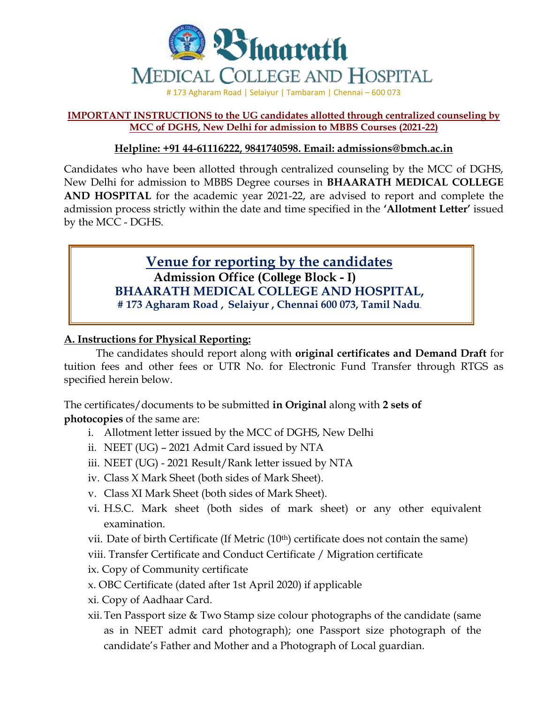

### **IMPORTANT INSTRUCTIONS to the UG candidates allotted through centralized counseling by MCC of DGHS, New Delhi for admission to MBBS Courses (2021-22)**

## **Helpline: +91 44-61116222, 9841740598. Email: admissions@bmch.ac.in**

Candidates who have been allotted through centralized counseling by the MCC of DGHS, New Delhi for admission to MBBS Degree courses in **BHAARATH MEDICAL COLLEGE AND HOSPITAL** for the academic year 2021-22, are advised to report and complete the admission process strictly within the date and time specified in the **'Allotment Letter'** issued by the MCC - DGHS.

# **Venue for reporting by the candidates Admission Office (College Block - I) BHAARATH MEDICAL COLLEGE AND HOSPITAL, # 173 Agharam Road , Selaiyur , Chennai 600 073, Tamil Nadu**.

## **A. Instructions for Physical Reporting:**

The candidates should report along with **original certificates and Demand Draft** for tuition fees and other fees or UTR No. for Electronic Fund Transfer through RTGS as specified herein below.

The certificates/documents to be submitted **in Original** along with **2 sets of photocopies** of the same are:

- i. Allotment letter issued by the MCC of DGHS, New Delhi
- ii. NEET (UG) 2021 Admit Card issued by NTA
- iii. NEET (UG) 2021 Result/Rank letter issued by NTA
- iv. Class X Mark Sheet (both sides of Mark Sheet).
- v. Class XI Mark Sheet (both sides of Mark Sheet).
- vi. H.S.C. Mark sheet (both sides of mark sheet) or any other equivalent examination.
- vii. Date of birth Certificate (If Metric  $(10<sup>th</sup>)$  certificate does not contain the same)
- viii. Transfer Certificate and Conduct Certificate / Migration certificate
- ix. Copy of Community certificate
- x. OBC Certificate (dated after 1st April 2020) if applicable
- xi. Copy of Aadhaar Card.
- xii.Ten Passport size & Two Stamp size colour photographs of the candidate (same as in NEET admit card photograph); one Passport size photograph of the candidate's Father and Mother and a Photograph of Local guardian.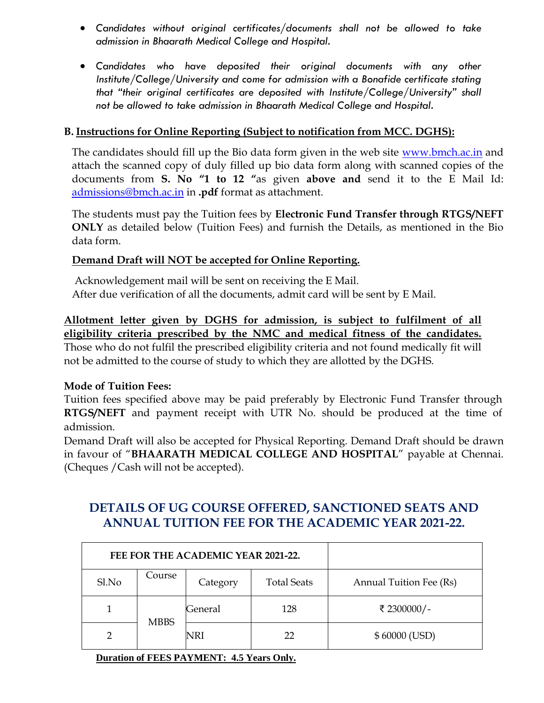- *Candidates without original certificates/documents shall not be allowed to take admission in Bhaarath Medical College and Hospital.*
- *Candidates who have deposited their original documents with any other Institute/College/University and come for admission with a Bonafide certificate stating that "their original certificates are deposited with Institute/College/University" shall not be allowed to take admission in Bhaarath Medical College and Hospital.*

## **B. Instructions for Online Reporting (Subject to notification from MCC. DGHS):**

The candidates should fill up the Bio data form given in the web site [www.bmch.ac.in](http://www.bmch.ac.in/) and attach the scanned copy of duly filled up bio data form along with scanned copies of the documents from **S. No "1 to 12 "**as given **above and** send it to the E Mail Id: [admissions@bmch.ac.in](mailto:admissions@bmch.ac.in) in **.pdf** format as attachment.

The students must pay the Tuition fees by **Electronic Fund Transfer through RTGS/NEFT ONLY** as detailed below (Tuition Fees) and furnish the Details, as mentioned in the Bio data form.

## **Demand Draft will NOT be accepted for Online Reporting.**

Acknowledgement mail will be sent on receiving the E Mail. After due verification of all the documents, admit card will be sent by E Mail.

**Allotment letter given by DGHS for admission, is subject to fulfilment of all eligibility criteria prescribed by the NMC and medical fitness of the candidates.**

Those who do not fulfil the prescribed eligibility criteria and not found medically fit will not be admitted to the course of study to which they are allotted by the DGHS.

## **Mode of Tuition Fees:**

Tuition fees specified above may be paid preferably by Electronic Fund Transfer through **RTGS/NEFT** and payment receipt with UTR No. should be produced at the time of admission.

Demand Draft will also be accepted for Physical Reporting. Demand Draft should be drawn in favour of "**BHAARATH MEDICAL COLLEGE AND HOSPITAL**" payable at Chennai. (Cheques /Cash will not be accepted).

# **DETAILS OF UG COURSE OFFERED, SANCTIONED SEATS AND ANNUAL TUITION FEE FOR THE ACADEMIC YEAR 2021-22.**

|       |             | FEE FOR THE ACADEMIC YEAR 2021-22. |                    |                         |
|-------|-------------|------------------------------------|--------------------|-------------------------|
| Sl.No | Course      | Category                           | <b>Total Seats</b> | Annual Tuition Fee (Rs) |
|       | <b>MBBS</b> | General                            | 128                | ₹ 2300000/-             |
|       |             | NRI                                | フフ                 | \$60000 (USD)           |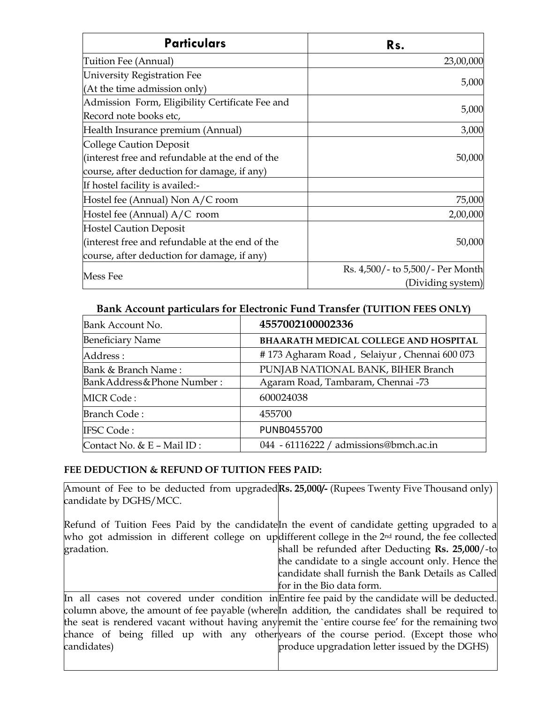| <b>Particulars</b>                              | Rs.                              |
|-------------------------------------------------|----------------------------------|
| Tuition Fee (Annual)                            | 23,00,000                        |
| University Registration Fee                     |                                  |
| (At the time admission only)                    | 5,000                            |
| Admission Form, Eligibility Certificate Fee and | 5,000                            |
| Record note books etc,                          |                                  |
| Health Insurance premium (Annual)               | 3,000                            |
| College Caution Deposit                         |                                  |
| (interest free and refundable at the end of the | 50,000                           |
| course, after deduction for damage, if any)     |                                  |
| If hostel facility is availed:-                 |                                  |
| Hostel fee (Annual) Non A/C room                | 75,000                           |
| Hostel fee (Annual) A/C room                    | 2,00,000                         |
| <b>Hostel Caution Deposit</b>                   |                                  |
| (interest free and refundable at the end of the | 50,000                           |
| course, after deduction for damage, if any)     |                                  |
| Mess Fee                                        | Rs. 4,500/- to 5,500/- Per Month |
|                                                 | (Dividing system)                |

### **Bank Account particulars for Electronic Fund Transfer (TUITION FEES ONLY)**

| Bank Account No.             | 4557002100002336                             |  |  |
|------------------------------|----------------------------------------------|--|--|
| <b>Beneficiary Name</b>      | <b>BHAARATH MEDICAL COLLEGE AND HOSPITAL</b> |  |  |
| Address :                    | #173 Agharam Road, Selaiyur, Chennai 600 073 |  |  |
| Bank & Branch Name:          | PUNJAB NATIONAL BANK, BIHER Branch           |  |  |
| Bank Address & Phone Number: | Agaram Road, Tambaram, Chennai -73           |  |  |
| <b>MICR Code:</b>            | 600024038                                    |  |  |
| <b>Branch Code:</b>          | 455700                                       |  |  |
| <b>IFSC Code:</b>            | PUNB0455700                                  |  |  |
| Contact No. & E - Mail ID:   | 044 - 61116222 / admissions@bmch.ac.in       |  |  |

#### **FEE DEDUCTION & REFUND OF TUITION FEES PAID:**

Amount of Fee to be deducted from upgraded Rs. 25,000/- (Rupees Twenty Five Thousand only) candidate by DGHS/MCC.

Refund of Tuition Fees Paid by the candidate<sup>r</sup> the event of candidate getting upgraded to a who got admission in different college on updifferent college in the 2<sup>nd</sup> round, the fee collected gradation. shall be refunded after Deducting **Rs. 25,000**/-to

the candidate to a single account only. Hence the candidate shall furnish the Bank Details as Called for in the Bio data form.

In all cases not covered under condition in Entire fee paid by the candidate will be deducted. column above, the amount of fee payable (where In addition, the candidates shall be required to the seat is rendered vacant without having any remit the `entire course fee' for the remaining two chance of being filled up with any other years of the course period. (Except those who candidates) produce upgradation letter issued by the DGHS)